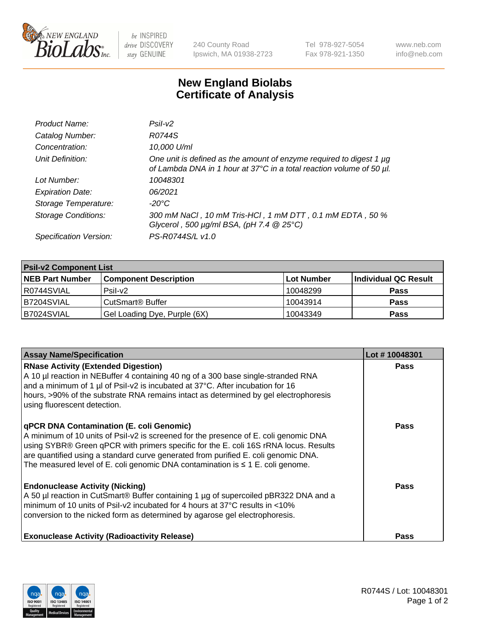

 $be$  INSPIRED drive DISCOVERY stay GENUINE

240 County Road Ipswich, MA 01938-2723 Tel 978-927-5054 Fax 978-921-1350 www.neb.com info@neb.com

## **New England Biolabs Certificate of Analysis**

| Product Name:              | Psi2                                                                                                                                        |
|----------------------------|---------------------------------------------------------------------------------------------------------------------------------------------|
| Catalog Number:            | R0744S                                                                                                                                      |
| Concentration:             | 10,000 U/ml                                                                                                                                 |
| Unit Definition:           | One unit is defined as the amount of enzyme required to digest 1 µg<br>of Lambda DNA in 1 hour at 37°C in a total reaction volume of 50 µl. |
| Lot Number:                | 10048301                                                                                                                                    |
| <b>Expiration Date:</b>    | 06/2021                                                                                                                                     |
| Storage Temperature:       | $-20^{\circ}$ C                                                                                                                             |
| <b>Storage Conditions:</b> | 300 mM NaCl, 10 mM Tris-HCl, 1 mM DTT, 0.1 mM EDTA, 50 %<br>Glycerol, 500 $\mu$ g/ml BSA, (pH 7.4 $@$ 25°C)                                 |
| Specification Version:     | PS-R0744S/L v1.0                                                                                                                            |

| <b>Psil-v2 Component List</b> |                              |            |                      |  |  |
|-------------------------------|------------------------------|------------|----------------------|--|--|
| <b>NEB Part Number</b>        | <b>Component Description</b> | Lot Number | Individual QC Result |  |  |
| I R0744SVIAL                  | $P$ sil-v $2$                | 10048299   | <b>Pass</b>          |  |  |
| IB7204SVIAL                   | CutSmart <sup>®</sup> Buffer | 10043914   | <b>Pass</b>          |  |  |
| B7024SVIAL                    | Gel Loading Dye, Purple (6X) | 10043349   | <b>Pass</b>          |  |  |

| <b>Assay Name/Specification</b>                                                                                                                                                                                                                                                                                                                                                                              | Lot #10048301 |
|--------------------------------------------------------------------------------------------------------------------------------------------------------------------------------------------------------------------------------------------------------------------------------------------------------------------------------------------------------------------------------------------------------------|---------------|
| <b>RNase Activity (Extended Digestion)</b><br>A 10 µl reaction in NEBuffer 4 containing 40 ng of a 300 base single-stranded RNA<br>and a minimum of 1 µl of Psil-v2 is incubated at 37°C. After incubation for 16<br>hours, >90% of the substrate RNA remains intact as determined by gel electrophoresis<br>using fluorescent detection.                                                                    | <b>Pass</b>   |
| <b>qPCR DNA Contamination (E. coli Genomic)</b><br>A minimum of 10 units of Psil-v2 is screened for the presence of E. coli genomic DNA<br>using SYBR® Green qPCR with primers specific for the E. coli 16S rRNA locus. Results<br>are quantified using a standard curve generated from purified E. coli genomic DNA.<br>The measured level of E. coli genomic DNA contamination is $\leq 1$ E. coli genome. | Pass          |
| <b>Endonuclease Activity (Nicking)</b><br>A 50 µl reaction in CutSmart® Buffer containing 1 µg of supercoiled pBR322 DNA and a<br>minimum of 10 units of Psil-v2 incubated for 4 hours at 37°C results in <10%<br>conversion to the nicked form as determined by agarose gel electrophoresis.                                                                                                                | <b>Pass</b>   |
| <b>Exonuclease Activity (Radioactivity Release)</b>                                                                                                                                                                                                                                                                                                                                                          | <b>Pass</b>   |